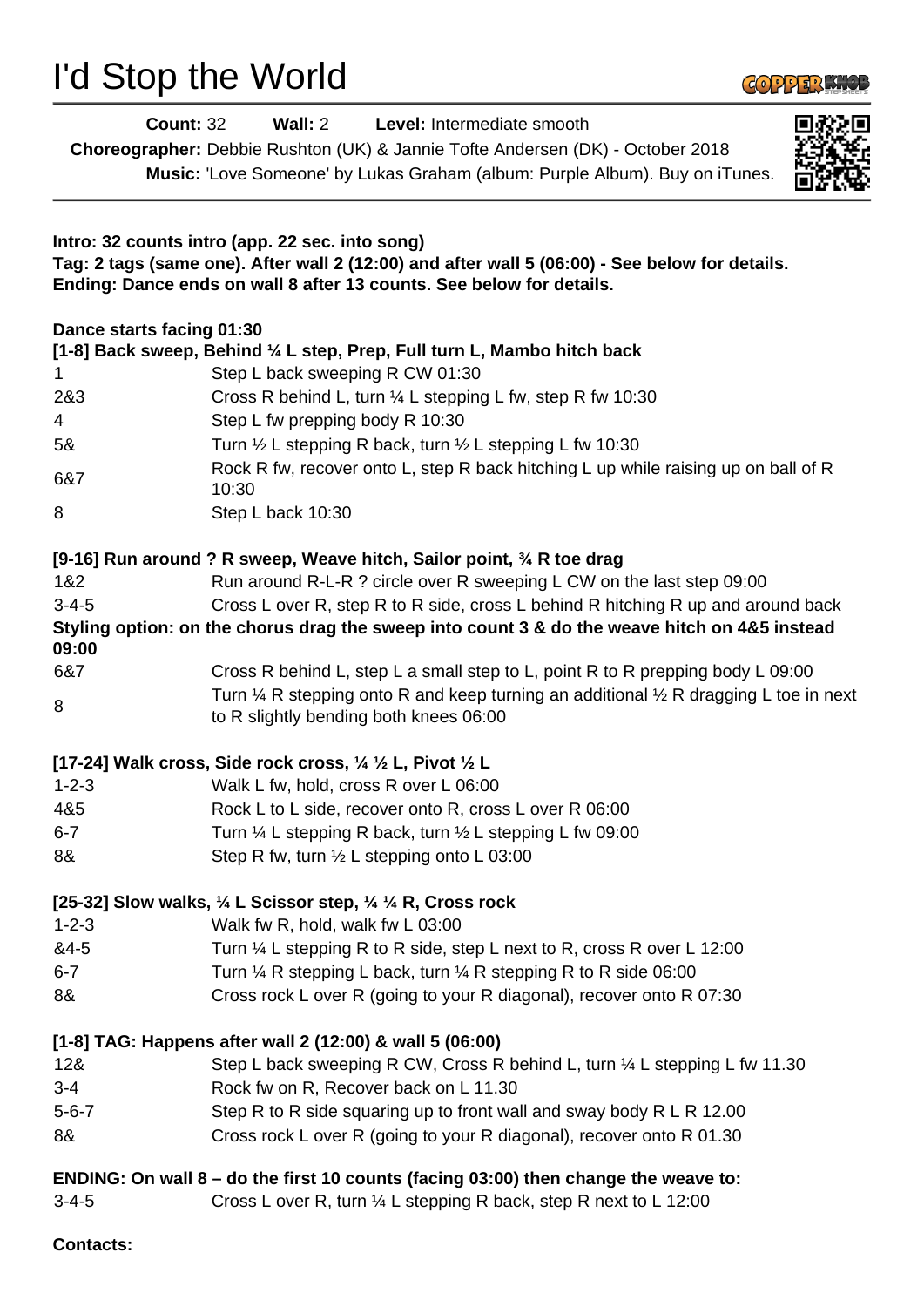## I'd Stop the World



| <b>Count: 32</b>          |                                                                                           | Wall: 2 Level: Intermediate smooth<br>Choreographer: Debbie Rushton (UK) & Jannie Tofte Andersen (DK) - October 2018<br>Music: 'Love Someone' by Lukas Graham (album: Purple Album). Buy on iTunes. |  |
|---------------------------|-------------------------------------------------------------------------------------------|-----------------------------------------------------------------------------------------------------------------------------------------------------------------------------------------------------|--|
|                           | Intro: 32 counts intro (app. 22 sec. into song)                                           | Tag: 2 tags (same one). After wall 2 (12:00) and after wall 5 (06:00) - See below for details.<br>Ending: Dance ends on wall 8 after 13 counts. See below for details.                              |  |
| Dance starts facing 01:30 |                                                                                           |                                                                                                                                                                                                     |  |
| $\mathbf 1$               | Step L back sweeping R CW 01:30                                                           | [1-8] Back sweep, Behind ¼ L step, Prep, Full turn L, Mambo hitch back                                                                                                                              |  |
| 2&3                       |                                                                                           | Cross R behind L, turn 1/4 L stepping L fw, step R fw 10:30                                                                                                                                         |  |
| 4                         | Step L fw prepping body R 10:30                                                           |                                                                                                                                                                                                     |  |
| 5&                        |                                                                                           | Turn $\frac{1}{2}$ L stepping R back, turn $\frac{1}{2}$ L stepping L fw 10:30                                                                                                                      |  |
|                           |                                                                                           | Rock R fw, recover onto L, step R back hitching L up while raising up on ball of R                                                                                                                  |  |
| 6&7                       | 10:30                                                                                     |                                                                                                                                                                                                     |  |
| 8                         | Step L back 10:30                                                                         |                                                                                                                                                                                                     |  |
|                           |                                                                                           | [9-16] Run around ? R sweep, Weave hitch, Sailor point, 34 R toe drag                                                                                                                               |  |
| 1&2                       |                                                                                           | Run around R-L-R ? circle over R sweeping L CW on the last step 09:00                                                                                                                               |  |
| $3 - 4 - 5$               |                                                                                           | Cross L over R, step R to R side, cross L behind R hitching R up and around back                                                                                                                    |  |
| 09:00                     |                                                                                           | Styling option: on the chorus drag the sweep into count 3 & do the weave hitch on 4&5 instead                                                                                                       |  |
| 6&7                       |                                                                                           | Cross R behind L, step L a small step to L, point R to R prepping body L 09:00                                                                                                                      |  |
| 8                         | to R slightly bending both knees 06:00                                                    | Turn $\frac{1}{4}$ R stepping onto R and keep turning an additional $\frac{1}{2}$ R dragging L toe in next                                                                                          |  |
|                           | [17-24] Walk cross, Side rock cross, $\frac{1}{4}$ $\frac{1}{2}$ L, Pivot $\frac{1}{2}$ L |                                                                                                                                                                                                     |  |
| $1 - 2 - 3$               | Walk L fw, hold, cross R over L 06:00                                                     |                                                                                                                                                                                                     |  |
| 4&5                       |                                                                                           | Rock L to L side, recover onto R, cross L over R 06:00                                                                                                                                              |  |
| $6 - 7$                   |                                                                                           | Turn 1/4 L stepping R back, turn 1/2 L stepping L fw 09:00                                                                                                                                          |  |
| 8&                        | Step R fw, turn $\frac{1}{2}$ L stepping onto L 03:00                                     |                                                                                                                                                                                                     |  |
|                           | [25-32] Slow walks, 1/4 L Scissor step, 1/4 1/4 R, Cross rock                             |                                                                                                                                                                                                     |  |
| $1 - 2 - 3$               | Walk fw R, hold, walk fw L 03:00                                                          |                                                                                                                                                                                                     |  |
| &4-5                      |                                                                                           | Turn 1/4 L stepping R to R side, step L next to R, cross R over L 12:00                                                                                                                             |  |
| $6 - 7$                   |                                                                                           | Turn $\frac{1}{4}$ R stepping L back, turn $\frac{1}{4}$ R stepping R to R side 06:00                                                                                                               |  |
| 8&                        |                                                                                           | Cross rock L over R (going to your R diagonal), recover onto R 07:30                                                                                                                                |  |
|                           | [1-8] TAG: Happens after wall 2 (12:00) & wall 5 (06:00)                                  |                                                                                                                                                                                                     |  |
| 128                       |                                                                                           | Step L back sweeping R CW, Cross R behind L, turn 1/4 L stepping L fw 11.30                                                                                                                         |  |
| $3 - 4$                   | Rock fw on R, Recover back on L 11.30                                                     |                                                                                                                                                                                                     |  |
| $5 - 6 - 7$               |                                                                                           | Step R to R side squaring up to front wall and sway body R L R 12.00                                                                                                                                |  |
| 8&                        |                                                                                           | Cross rock L over R (going to your R diagonal), recover onto R 01.30                                                                                                                                |  |
|                           |                                                                                           | ENDING: On wall 8 - do the first 10 counts (facing 03:00) then change the weave to:                                                                                                                 |  |
| $3 - 4 - 5$               |                                                                                           | Cross L over R, turn 1/4 L stepping R back, step R next to L 12:00                                                                                                                                  |  |

**Contacts:**